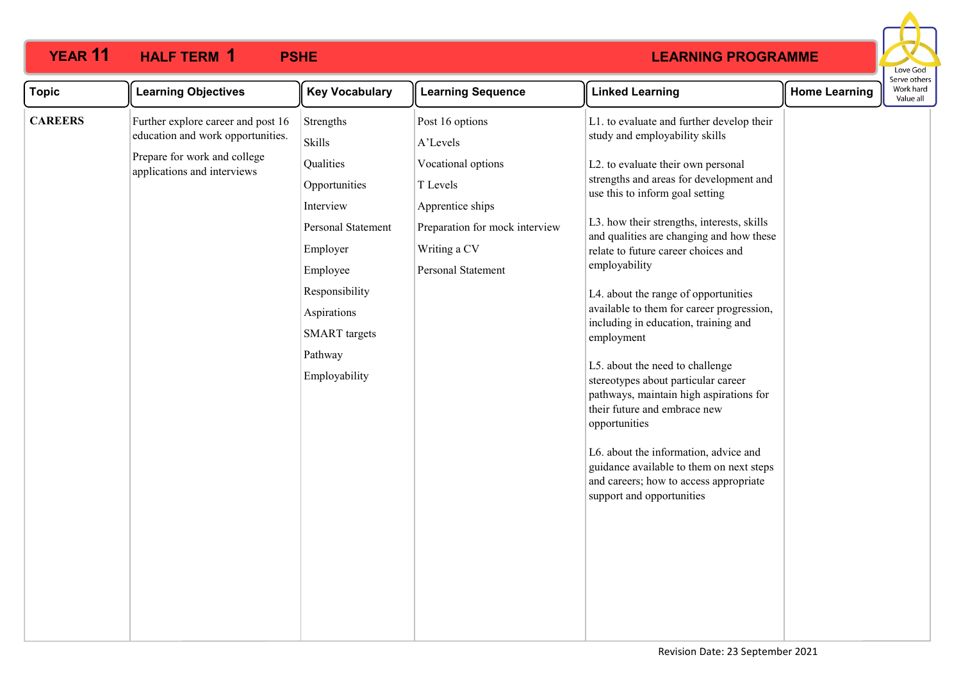

| <b>Topic</b>   | <b>Learning Objectives</b>                                                                                                             | <b>Key Vocabulary</b>                                                                                                                                                                             | <b>Learning Sequence</b>                                                                                                                                  | <b>Linked Learning</b>                                                                                                                                                                                                                                                                                                                                                                                                                                                                                                                                                                                                                                                                                                                                                                                                         | <b>Home Learning</b> | serve otrie<br>Work hard<br>Value all |
|----------------|----------------------------------------------------------------------------------------------------------------------------------------|---------------------------------------------------------------------------------------------------------------------------------------------------------------------------------------------------|-----------------------------------------------------------------------------------------------------------------------------------------------------------|--------------------------------------------------------------------------------------------------------------------------------------------------------------------------------------------------------------------------------------------------------------------------------------------------------------------------------------------------------------------------------------------------------------------------------------------------------------------------------------------------------------------------------------------------------------------------------------------------------------------------------------------------------------------------------------------------------------------------------------------------------------------------------------------------------------------------------|----------------------|---------------------------------------|
| <b>CAREERS</b> | Further explore career and post 16<br>education and work opportunities.<br>Prepare for work and college<br>applications and interviews | Strengths<br>Skills<br>Qualities<br>Opportunities<br>Interview<br>Personal Statement<br>Employer<br>Employee<br>Responsibility<br>Aspirations<br><b>SMART</b> targets<br>Pathway<br>Employability | Post 16 options<br>A'Levels<br>Vocational options<br>T Levels<br>Apprentice ships<br>Preparation for mock interview<br>Writing a CV<br>Personal Statement | L1. to evaluate and further develop their<br>study and employability skills<br>L2. to evaluate their own personal<br>strengths and areas for development and<br>use this to inform goal setting<br>L3. how their strengths, interests, skills<br>and qualities are changing and how these<br>relate to future career choices and<br>employability<br>L4. about the range of opportunities<br>available to them for career progression,<br>including in education, training and<br>employment<br>L5. about the need to challenge<br>stereotypes about particular career<br>pathways, maintain high aspirations for<br>their future and embrace new<br>opportunities<br>L6. about the information, advice and<br>guidance available to them on next steps<br>and careers; how to access appropriate<br>support and opportunities |                      |                                       |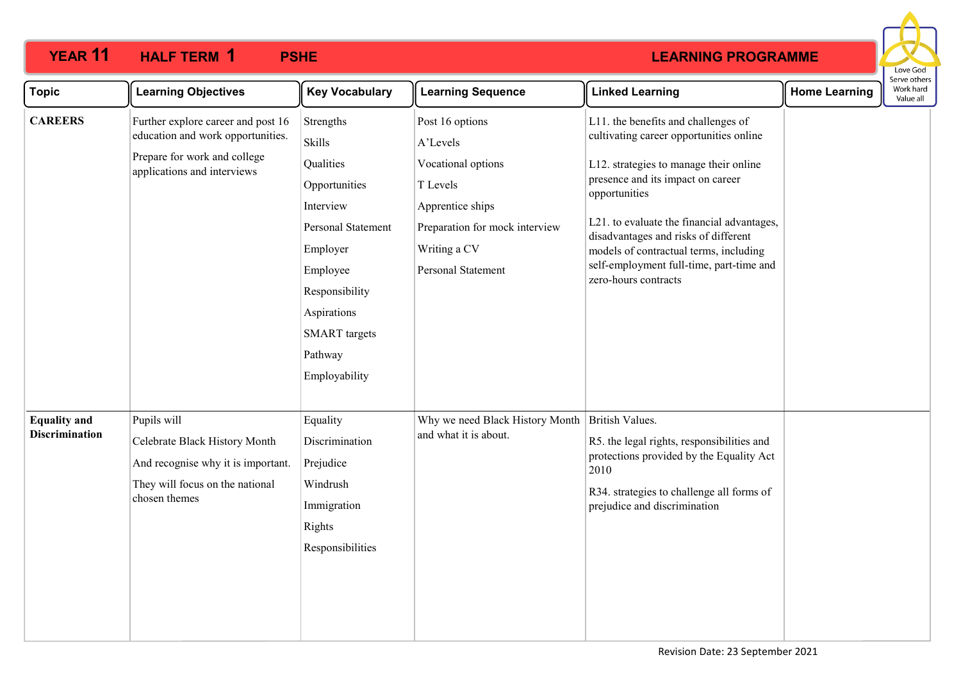

| <b>Topic</b>                                 | <b>Learning Objectives</b>                                                                                                             | <b>Key Vocabulary</b>                                                                                                                                                                                    | <b>Learning Sequence</b>                                                                                                                                  | <b>Linked Learning</b>                                                                                                                                                                                                                                                                                                                                                             | <b>Home Learning</b> | Serve others<br>Work hard<br>Value all |  |
|----------------------------------------------|----------------------------------------------------------------------------------------------------------------------------------------|----------------------------------------------------------------------------------------------------------------------------------------------------------------------------------------------------------|-----------------------------------------------------------------------------------------------------------------------------------------------------------|------------------------------------------------------------------------------------------------------------------------------------------------------------------------------------------------------------------------------------------------------------------------------------------------------------------------------------------------------------------------------------|----------------------|----------------------------------------|--|
| <b>CAREERS</b>                               | Further explore career and post 16<br>education and work opportunities.<br>Prepare for work and college<br>applications and interviews | Strengths<br><b>Skills</b><br>Qualities<br>Opportunities<br>Interview<br>Personal Statement<br>Employer<br>Employee<br>Responsibility<br>Aspirations<br><b>SMART</b> targets<br>Pathway<br>Employability | Post 16 options<br>A'Levels<br>Vocational options<br>T Levels<br>Apprentice ships<br>Preparation for mock interview<br>Writing a CV<br>Personal Statement | L11. the benefits and challenges of<br>cultivating career opportunities online<br>L12. strategies to manage their online<br>presence and its impact on career<br>opportunities<br>L21. to evaluate the financial advantages,<br>disadvantages and risks of different<br>models of contractual terms, including<br>self-employment full-time, part-time and<br>zero-hours contracts |                      |                                        |  |
| <b>Equality and</b><br><b>Discrimination</b> | Pupils will<br>Celebrate Black History Month<br>And recognise why it is important.<br>They will focus on the national<br>chosen themes | Equality<br>Discrimination<br>Prejudice<br>Windrush<br>Immigration<br>Rights<br>Responsibilities                                                                                                         | Why we need Black History Month<br>and what it is about.                                                                                                  | British Values.<br>R5. the legal rights, responsibilities and<br>protections provided by the Equality Act<br>2010<br>R34. strategies to challenge all forms of<br>prejudice and discrimination                                                                                                                                                                                     |                      |                                        |  |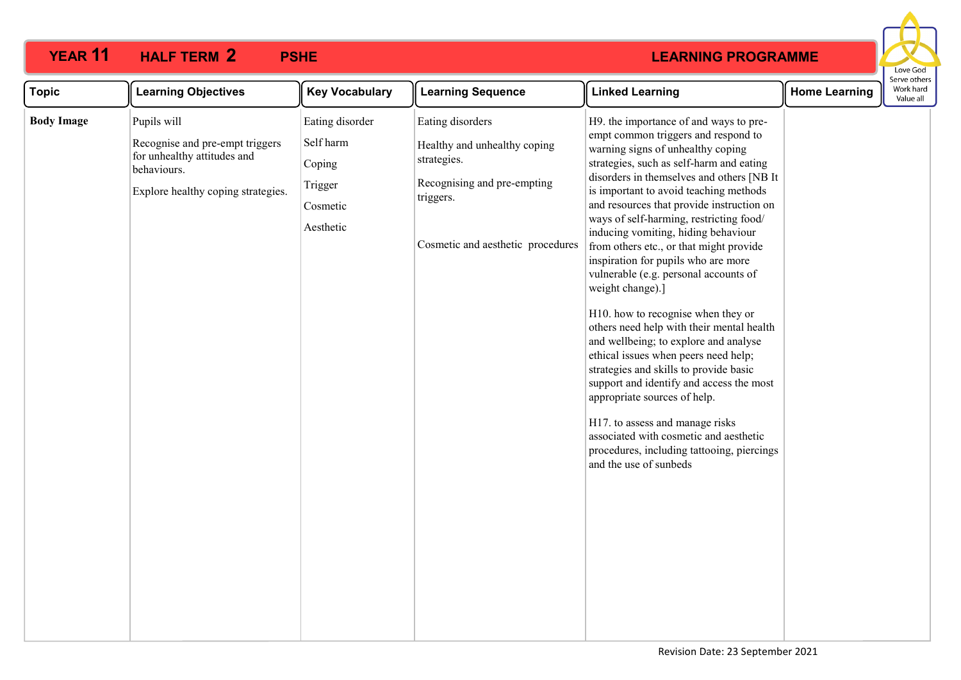|                                                                                                                                                                                                                                                                                                                                                                                                                                                                                                                                                                                                                                                                                                                                                                                                                                                                                                                                                                                                                                                                                                                                                                                                                                                                                                                                                                                 | Love God<br>Serve others                       |
|---------------------------------------------------------------------------------------------------------------------------------------------------------------------------------------------------------------------------------------------------------------------------------------------------------------------------------------------------------------------------------------------------------------------------------------------------------------------------------------------------------------------------------------------------------------------------------------------------------------------------------------------------------------------------------------------------------------------------------------------------------------------------------------------------------------------------------------------------------------------------------------------------------------------------------------------------------------------------------------------------------------------------------------------------------------------------------------------------------------------------------------------------------------------------------------------------------------------------------------------------------------------------------------------------------------------------------------------------------------------------------|------------------------------------------------|
| <b>Learning Objectives</b><br><b>Key Vocabulary</b><br><b>Learning Sequence</b><br><b>Linked Learning</b><br><b>Topic</b>                                                                                                                                                                                                                                                                                                                                                                                                                                                                                                                                                                                                                                                                                                                                                                                                                                                                                                                                                                                                                                                                                                                                                                                                                                                       | Work hard<br><b>Home Learning</b><br>Value all |
| <b>Body Image</b><br>Pupils will<br>Eating disorder<br>Eating disorders<br>H9. the importance of and ways to pre-<br>empt common triggers and respond to<br>Self harm<br>Recognise and pre-empt triggers<br>Healthy and unhealthy coping<br>warning signs of unhealthy coping<br>for unhealthy attitudes and<br>strategies.<br>strategies, such as self-harm and eating<br>Coping<br>behaviours.<br>disorders in themselves and others [NB It<br>Recognising and pre-empting<br>Trigger<br>is important to avoid teaching methods<br>Explore healthy coping strategies.<br>triggers.<br>and resources that provide instruction on<br>Cosmetic<br>ways of self-harming, restricting food/<br>Aesthetic<br>inducing vomiting, hiding behaviour<br>Cosmetic and aesthetic procedures<br>from others etc., or that might provide<br>inspiration for pupils who are more<br>vulnerable (e.g. personal accounts of<br>weight change).]<br>H10. how to recognise when they or<br>others need help with their mental health<br>and wellbeing; to explore and analyse<br>ethical issues when peers need help;<br>strategies and skills to provide basic<br>support and identify and access the most<br>appropriate sources of help.<br>H17. to assess and manage risks<br>associated with cosmetic and aesthetic<br>procedures, including tattooing, piercings<br>and the use of sunbeds |                                                |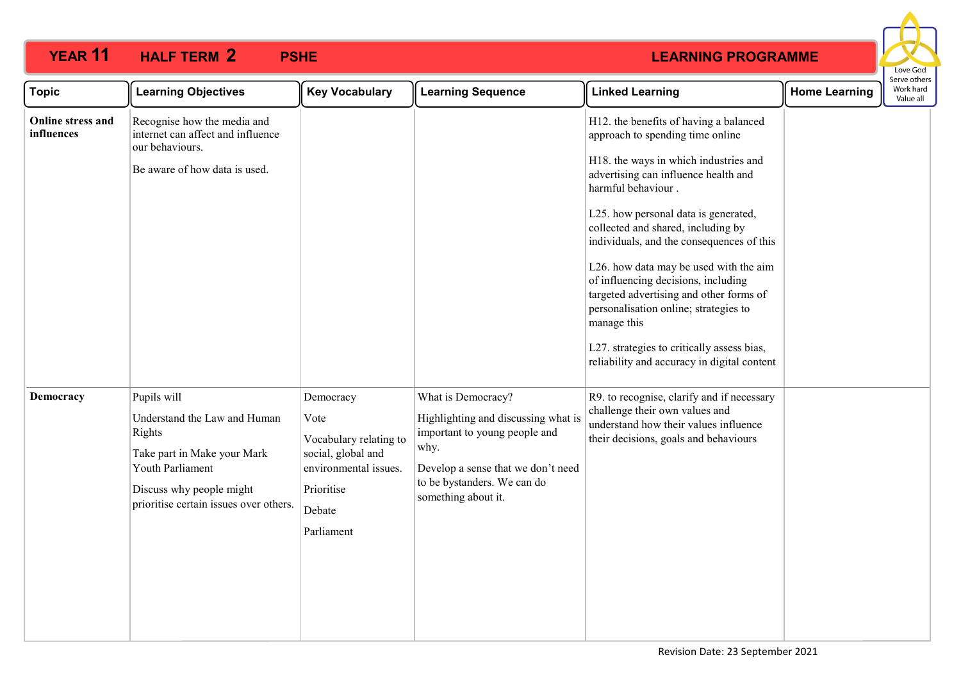

| <b>Topic</b>                    | <b>Learning Objectives</b>                                                                                                                                                     | <b>Key Vocabulary</b>                                                                                                            | <b>Learning Sequence</b>                                                                                                                                                                       | <b>Linked Learning</b>                                                                                                                                                                                                                                                                                                                                                                                                                                                                                                                                                                        | <b>Home Learning</b> | Serve others<br>Work hard<br>Value all |
|---------------------------------|--------------------------------------------------------------------------------------------------------------------------------------------------------------------------------|----------------------------------------------------------------------------------------------------------------------------------|------------------------------------------------------------------------------------------------------------------------------------------------------------------------------------------------|-----------------------------------------------------------------------------------------------------------------------------------------------------------------------------------------------------------------------------------------------------------------------------------------------------------------------------------------------------------------------------------------------------------------------------------------------------------------------------------------------------------------------------------------------------------------------------------------------|----------------------|----------------------------------------|
| Online stress and<br>influences | Recognise how the media and<br>internet can affect and influence<br>our behaviours.<br>Be aware of how data is used.                                                           |                                                                                                                                  |                                                                                                                                                                                                | H12. the benefits of having a balanced<br>approach to spending time online<br>H18. the ways in which industries and<br>advertising can influence health and<br>harmful behaviour.<br>L25. how personal data is generated,<br>collected and shared, including by<br>individuals, and the consequences of this<br>L26. how data may be used with the aim<br>of influencing decisions, including<br>targeted advertising and other forms of<br>personalisation online; strategies to<br>manage this<br>L27. strategies to critically assess bias,<br>reliability and accuracy in digital content |                      |                                        |
| Democracy                       | Pupils will<br>Understand the Law and Human<br>Rights<br>Take part in Make your Mark<br>Youth Parliament<br>Discuss why people might<br>prioritise certain issues over others. | Democracy<br>Vote<br>Vocabulary relating to<br>social, global and<br>environmental issues.<br>Prioritise<br>Debate<br>Parliament | What is Democracy?<br>Highlighting and discussing what is<br>important to young people and<br>why.<br>Develop a sense that we don't need<br>to be bystanders. We can do<br>something about it. | R9. to recognise, clarify and if necessary<br>challenge their own values and<br>understand how their values influence<br>their decisions, goals and behaviours                                                                                                                                                                                                                                                                                                                                                                                                                                |                      |                                        |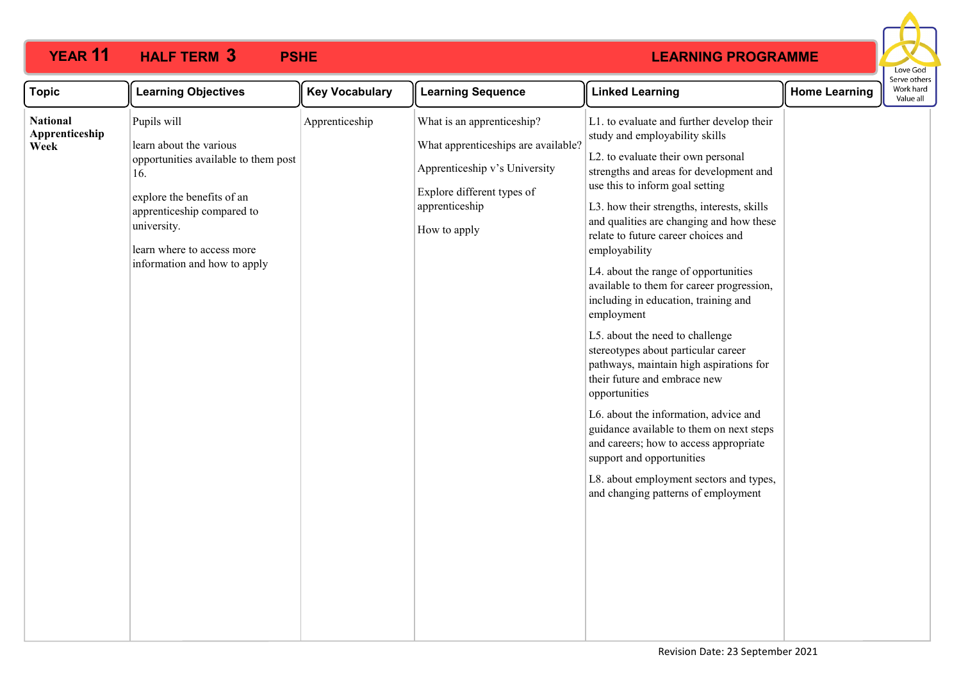|                                           |                                                                                                                                                                                                                                |                       |                                                                                                                                                                    |                                                                                                                                                                                                                                                                                                                                                                                                                                                                                                                                                                                                                                                                                                                                                                                                                                                                                                                  |                      | Love God                               |
|-------------------------------------------|--------------------------------------------------------------------------------------------------------------------------------------------------------------------------------------------------------------------------------|-----------------------|--------------------------------------------------------------------------------------------------------------------------------------------------------------------|------------------------------------------------------------------------------------------------------------------------------------------------------------------------------------------------------------------------------------------------------------------------------------------------------------------------------------------------------------------------------------------------------------------------------------------------------------------------------------------------------------------------------------------------------------------------------------------------------------------------------------------------------------------------------------------------------------------------------------------------------------------------------------------------------------------------------------------------------------------------------------------------------------------|----------------------|----------------------------------------|
| <b>Topic</b>                              | <b>Learning Objectives</b>                                                                                                                                                                                                     | <b>Key Vocabulary</b> | <b>Learning Sequence</b>                                                                                                                                           | <b>Linked Learning</b>                                                                                                                                                                                                                                                                                                                                                                                                                                                                                                                                                                                                                                                                                                                                                                                                                                                                                           | <b>Home Learning</b> | Serve others<br>Work hard<br>Value all |
| <b>National</b><br>Apprenticeship<br>Week | Pupils will<br>learn about the various<br>opportunities available to them post<br>16.<br>explore the benefits of an<br>apprenticeship compared to<br>university.<br>learn where to access more<br>information and how to apply | Apprenticeship        | What is an apprenticeship?<br>What apprenticeships are available?<br>Apprenticeship v's University<br>Explore different types of<br>apprenticeship<br>How to apply | L1. to evaluate and further develop their<br>study and employability skills<br>L2. to evaluate their own personal<br>strengths and areas for development and<br>use this to inform goal setting<br>L3. how their strengths, interests, skills<br>and qualities are changing and how these<br>relate to future career choices and<br>employability<br>L4. about the range of opportunities<br>available to them for career progression,<br>including in education, training and<br>employment<br>L5. about the need to challenge<br>stereotypes about particular career<br>pathways, maintain high aspirations for<br>their future and embrace new<br>opportunities<br>L6. about the information, advice and<br>guidance available to them on next steps<br>and careers; how to access appropriate<br>support and opportunities<br>L8. about employment sectors and types,<br>and changing patterns of employment |                      |                                        |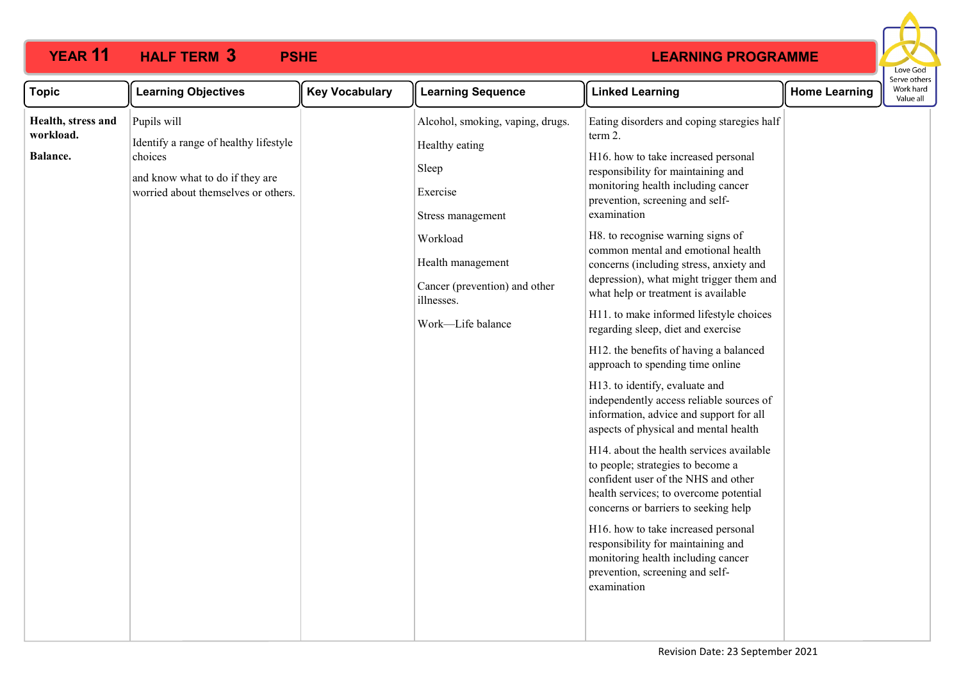

| <b>Topic</b>                                | <b>Learning Objectives</b>                                                                                                                | <b>Key Vocabulary</b> | <b>Learning Sequence</b>                                                                                                                                                                          | <b>Linked Learning</b>                                                                                                                                                                                                                                                                                                                                                                                                                                                                                                                                                                                                                                                                                                                                                                                                                                                                                                                                                                                                                                                                                                                              | <b>Home Learning</b> | יכו עכ טנווכו<br>Work hard<br>Value all |
|---------------------------------------------|-------------------------------------------------------------------------------------------------------------------------------------------|-----------------------|---------------------------------------------------------------------------------------------------------------------------------------------------------------------------------------------------|-----------------------------------------------------------------------------------------------------------------------------------------------------------------------------------------------------------------------------------------------------------------------------------------------------------------------------------------------------------------------------------------------------------------------------------------------------------------------------------------------------------------------------------------------------------------------------------------------------------------------------------------------------------------------------------------------------------------------------------------------------------------------------------------------------------------------------------------------------------------------------------------------------------------------------------------------------------------------------------------------------------------------------------------------------------------------------------------------------------------------------------------------------|----------------------|-----------------------------------------|
| Health, stress and<br>workload.<br>Balance. | Pupils will<br>Identify a range of healthy lifestyle<br>choices<br>and know what to do if they are<br>worried about themselves or others. |                       | Alcohol, smoking, vaping, drugs.<br>Healthy eating<br>Sleep<br>Exercise<br>Stress management<br>Workload<br>Health management<br>Cancer (prevention) and other<br>illnesses.<br>Work-Life balance | Eating disorders and coping staregies half<br>term 2.<br>H16. how to take increased personal<br>responsibility for maintaining and<br>monitoring health including cancer<br>prevention, screening and self-<br>examination<br>H8. to recognise warning signs of<br>common mental and emotional health<br>concerns (including stress, anxiety and<br>depression), what might trigger them and<br>what help or treatment is available<br>H11. to make informed lifestyle choices<br>regarding sleep, diet and exercise<br>H12. the benefits of having a balanced<br>approach to spending time online<br>H13. to identify, evaluate and<br>independently access reliable sources of<br>information, advice and support for all<br>aspects of physical and mental health<br>H14. about the health services available<br>to people; strategies to become a<br>confident user of the NHS and other<br>health services; to overcome potential<br>concerns or barriers to seeking help<br>H16. how to take increased personal<br>responsibility for maintaining and<br>monitoring health including cancer<br>prevention, screening and self-<br>examination |                      |                                         |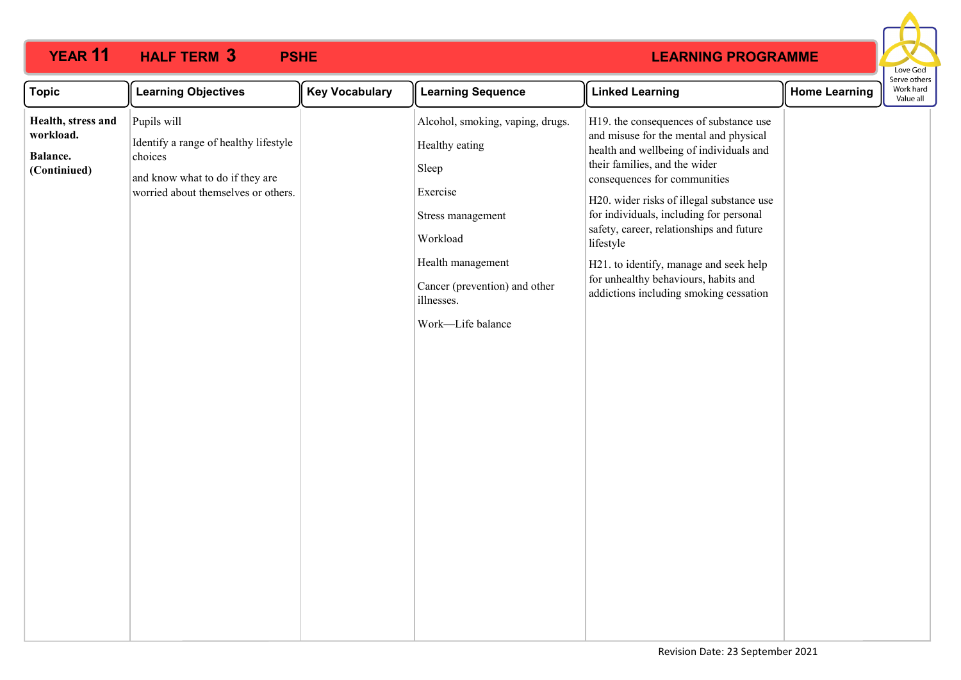|                                                             |                                                                                                                                           |                       |                                                                                                                                                                                                   |                                                                                                                                                                                                                                                                                                                                                                                                                                                                           |                      | Love God<br>Serve others |
|-------------------------------------------------------------|-------------------------------------------------------------------------------------------------------------------------------------------|-----------------------|---------------------------------------------------------------------------------------------------------------------------------------------------------------------------------------------------|---------------------------------------------------------------------------------------------------------------------------------------------------------------------------------------------------------------------------------------------------------------------------------------------------------------------------------------------------------------------------------------------------------------------------------------------------------------------------|----------------------|--------------------------|
| <b>Topic</b>                                                | <b>Learning Objectives</b>                                                                                                                | <b>Key Vocabulary</b> | <b>Learning Sequence</b>                                                                                                                                                                          | <b>Linked Learning</b>                                                                                                                                                                                                                                                                                                                                                                                                                                                    | <b>Home Learning</b> | Work hard<br>Value all   |
| Health, stress and<br>workload.<br>Balance.<br>(Continiued) | Pupils will<br>Identify a range of healthy lifestyle<br>choices<br>and know what to do if they are<br>worried about themselves or others. |                       | Alcohol, smoking, vaping, drugs.<br>Healthy eating<br>Sleep<br>Exercise<br>Stress management<br>Workload<br>Health management<br>Cancer (prevention) and other<br>illnesses.<br>Work-Life balance | H19. the consequences of substance use<br>and misuse for the mental and physical<br>health and wellbeing of individuals and<br>their families, and the wider<br>consequences for communities<br>H20. wider risks of illegal substance use<br>for individuals, including for personal<br>safety, career, relationships and future<br>lifestyle<br>H21. to identify, manage and seek help<br>for unhealthy behaviours, habits and<br>addictions including smoking cessation |                      |                          |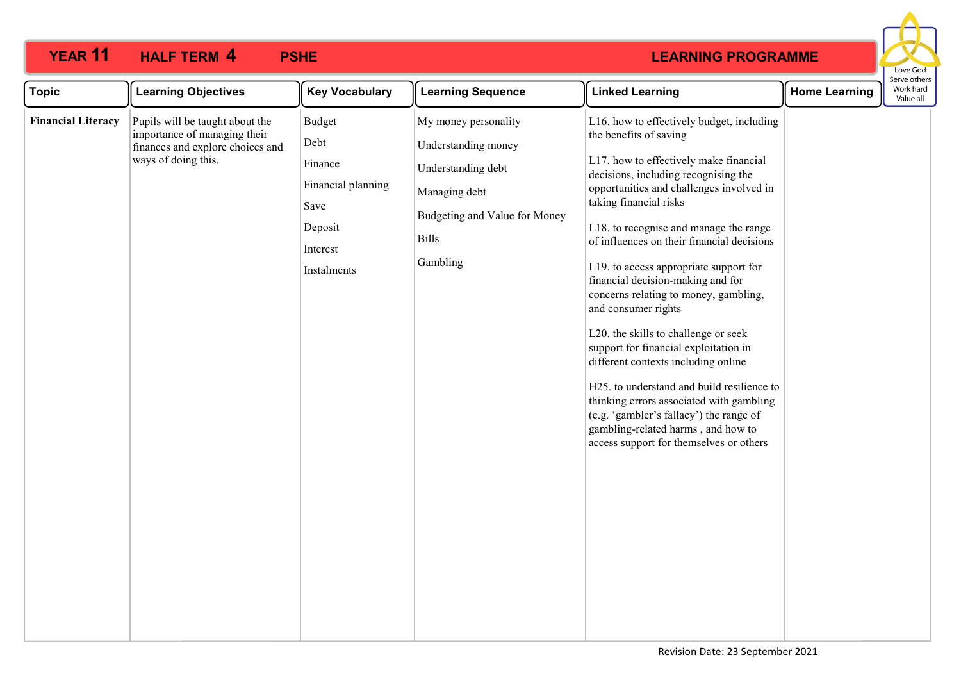

| <b>Topic</b>              | <b>Learning Objectives</b>                                                                                                 | <b>Key Vocabulary</b>                                                                                | <b>Learning Sequence</b>                                                                                                                        | <b>Linked Learning</b>                                                                                                                                                                                                                                                                                                                                                                                                                                                                                                                                                                                                                                                                                                                                                                                           | <b>Home Learning</b> | Serve othe<br>Work hard<br>Value all |
|---------------------------|----------------------------------------------------------------------------------------------------------------------------|------------------------------------------------------------------------------------------------------|-------------------------------------------------------------------------------------------------------------------------------------------------|------------------------------------------------------------------------------------------------------------------------------------------------------------------------------------------------------------------------------------------------------------------------------------------------------------------------------------------------------------------------------------------------------------------------------------------------------------------------------------------------------------------------------------------------------------------------------------------------------------------------------------------------------------------------------------------------------------------------------------------------------------------------------------------------------------------|----------------------|--------------------------------------|
| <b>Financial Literacy</b> | Pupils will be taught about the<br>importance of managing their<br>finances and explore choices and<br>ways of doing this. | <b>Budget</b><br>Debt<br>Finance<br>Financial planning<br>Save<br>Deposit<br>Interest<br>Instalments | My money personality<br>Understanding money<br>Understanding debt<br>Managing debt<br>Budgeting and Value for Money<br><b>Bills</b><br>Gambling | L16. how to effectively budget, including<br>the benefits of saving<br>L17. how to effectively make financial<br>decisions, including recognising the<br>opportunities and challenges involved in<br>taking financial risks<br>L18. to recognise and manage the range<br>of influences on their financial decisions<br>L19. to access appropriate support for<br>financial decision-making and for<br>concerns relating to money, gambling,<br>and consumer rights<br>L20. the skills to challenge or seek<br>support for financial exploitation in<br>different contexts including online<br>H25. to understand and build resilience to<br>thinking errors associated with gambling<br>(e.g. 'gambler's fallacy') the range of<br>gambling-related harms, and how to<br>access support for themselves or others |                      |                                      |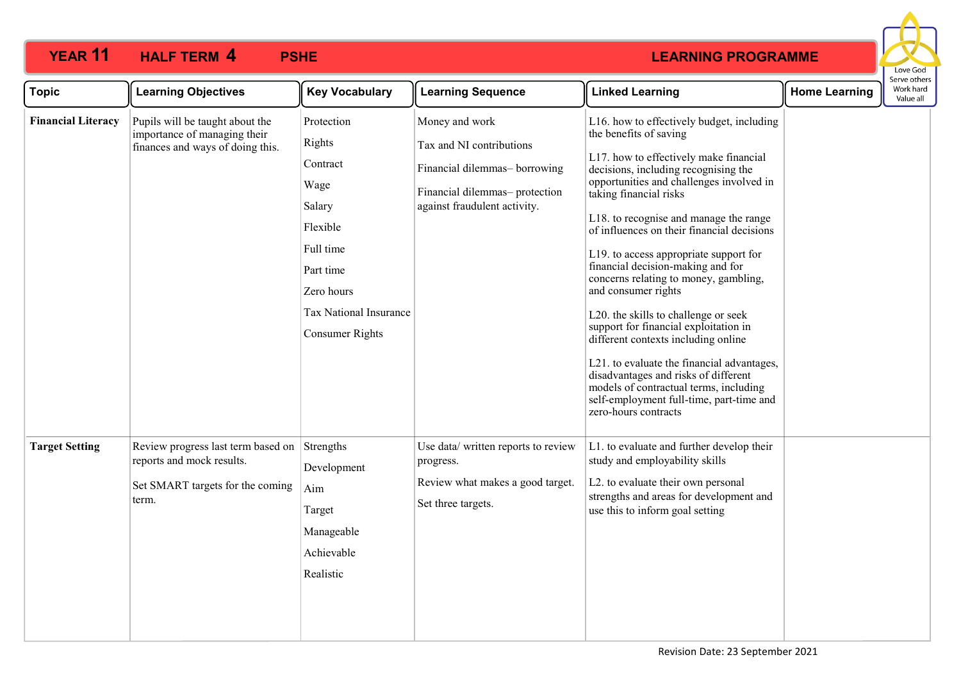

| <b>Topic</b>              | <b>Learning Objectives</b>                                                                                   | <b>Key Vocabulary</b>                                                                                                                                      | <b>Learning Sequence</b>                                                                                                                     | <b>Linked Learning</b>                                                                                                                                                                                                                                                                                                                                                                                                                                                                                                                                                                                                                                                                                                                                                                         | <b>Home Learning</b> | יוטים על הי<br>Work hard<br>Value all |
|---------------------------|--------------------------------------------------------------------------------------------------------------|------------------------------------------------------------------------------------------------------------------------------------------------------------|----------------------------------------------------------------------------------------------------------------------------------------------|------------------------------------------------------------------------------------------------------------------------------------------------------------------------------------------------------------------------------------------------------------------------------------------------------------------------------------------------------------------------------------------------------------------------------------------------------------------------------------------------------------------------------------------------------------------------------------------------------------------------------------------------------------------------------------------------------------------------------------------------------------------------------------------------|----------------------|---------------------------------------|
| <b>Financial Literacy</b> | Pupils will be taught about the<br>importance of managing their<br>finances and ways of doing this.          | Protection<br>Rights<br>Contract<br>Wage<br>Salary<br>Flexible<br>Full time<br>Part time<br>Zero hours<br>Tax National Insurance<br><b>Consumer Rights</b> | Money and work<br>Tax and NI contributions<br>Financial dilemmas-borrowing<br>Financial dilemmas- protection<br>against fraudulent activity. | L16. how to effectively budget, including<br>the benefits of saving<br>L17. how to effectively make financial<br>decisions, including recognising the<br>opportunities and challenges involved in<br>taking financial risks<br>L18. to recognise and manage the range<br>of influences on their financial decisions<br>L19. to access appropriate support for<br>financial decision-making and for<br>concerns relating to money, gambling,<br>and consumer rights<br>L20. the skills to challenge or seek<br>support for financial exploitation in<br>different contexts including online<br>L21. to evaluate the financial advantages,<br>disadvantages and risks of different<br>models of contractual terms, including<br>self-employment full-time, part-time and<br>zero-hours contracts |                      |                                       |
| <b>Target Setting</b>     | Review progress last term based on<br>reports and mock results.<br>Set SMART targets for the coming<br>term. | Strengths<br>Development<br>Aim<br>Target<br>Manageable<br>Achievable<br>Realistic                                                                         | Use data/ written reports to review<br>progress.<br>Review what makes a good target.<br>Set three targets.                                   | L1. to evaluate and further develop their<br>study and employability skills<br>L2. to evaluate their own personal<br>strengths and areas for development and<br>use this to inform goal setting                                                                                                                                                                                                                                                                                                                                                                                                                                                                                                                                                                                                |                      |                                       |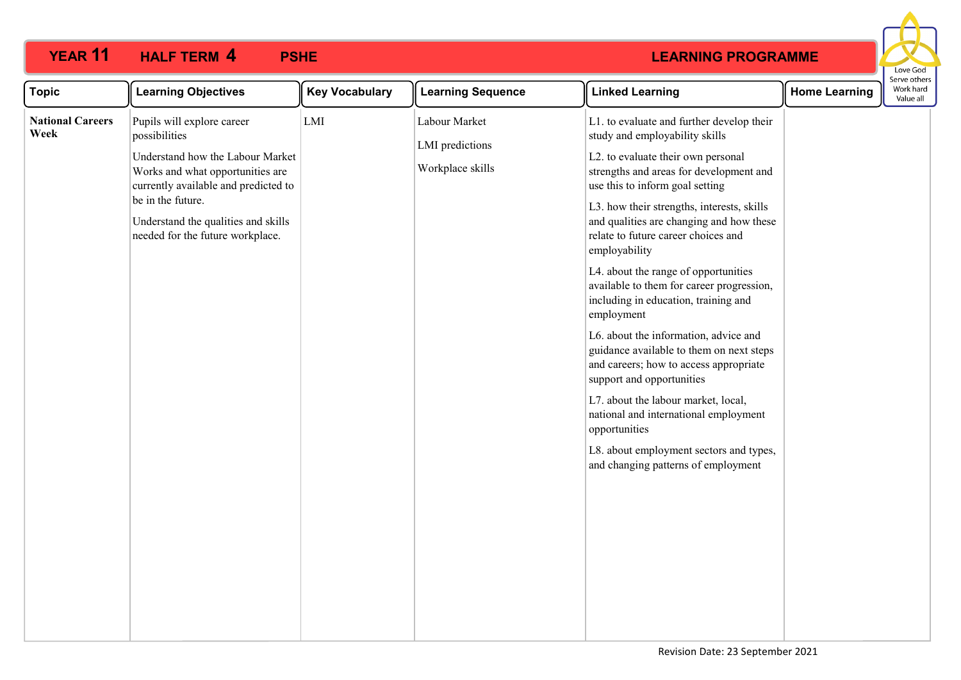

| <b>Topic</b>                    | <b>Learning Objectives</b>                                                                                                                                                                                                                                  | <b>Key Vocabulary</b> | <b>Learning Sequence</b>                             | <b>Linked Learning</b>                                                                                                                                                                                                                                                                                                                                                                                                                                                                                                                                                                                                                                                                                                                                                                                                                      | <b>Home Learning</b> | Work hard<br>Value all |
|---------------------------------|-------------------------------------------------------------------------------------------------------------------------------------------------------------------------------------------------------------------------------------------------------------|-----------------------|------------------------------------------------------|---------------------------------------------------------------------------------------------------------------------------------------------------------------------------------------------------------------------------------------------------------------------------------------------------------------------------------------------------------------------------------------------------------------------------------------------------------------------------------------------------------------------------------------------------------------------------------------------------------------------------------------------------------------------------------------------------------------------------------------------------------------------------------------------------------------------------------------------|----------------------|------------------------|
| <b>National Careers</b><br>Week | Pupils will explore career<br>possibilities<br>Understand how the Labour Market<br>Works and what opportunities are<br>currently available and predicted to<br>be in the future.<br>Understand the qualities and skills<br>needed for the future workplace. | LMI                   | Labour Market<br>LMI predictions<br>Workplace skills | L1. to evaluate and further develop their<br>study and employability skills<br>L2. to evaluate their own personal<br>strengths and areas for development and<br>use this to inform goal setting<br>L3. how their strengths, interests, skills<br>and qualities are changing and how these<br>relate to future career choices and<br>employability<br>L4. about the range of opportunities<br>available to them for career progression,<br>including in education, training and<br>employment<br>L6. about the information, advice and<br>guidance available to them on next steps<br>and careers; how to access appropriate<br>support and opportunities<br>L7. about the labour market, local,<br>national and international employment<br>opportunities<br>L8. about employment sectors and types,<br>and changing patterns of employment |                      |                        |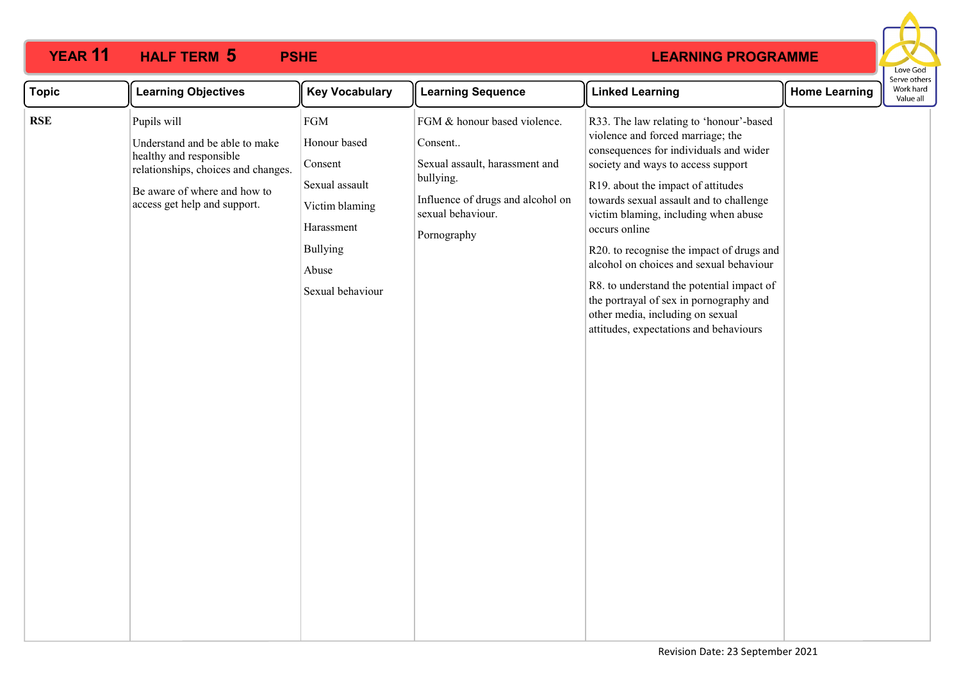|                                                                                                                                                                                                                                                                                                                                                                                                                                                                                                                                                                                                                                                                                                                                                                                                                                                                                                                                                                                                                                                                                     | Love God                               |
|-------------------------------------------------------------------------------------------------------------------------------------------------------------------------------------------------------------------------------------------------------------------------------------------------------------------------------------------------------------------------------------------------------------------------------------------------------------------------------------------------------------------------------------------------------------------------------------------------------------------------------------------------------------------------------------------------------------------------------------------------------------------------------------------------------------------------------------------------------------------------------------------------------------------------------------------------------------------------------------------------------------------------------------------------------------------------------------|----------------------------------------|
| <b>Learning Objectives</b><br><b>Key Vocabulary</b><br><b>Learning Sequence</b><br><b>Linked Learning</b><br><b>Topic</b><br><b>Home Learning</b>                                                                                                                                                                                                                                                                                                                                                                                                                                                                                                                                                                                                                                                                                                                                                                                                                                                                                                                                   | Serve others<br>Work hard<br>Value all |
| <b>FGM</b><br>Pupils will<br>FGM & honour based violence.<br>R33. The law relating to 'honour'-based<br><b>RSE</b><br>violence and forced marriage; the<br>Honour based<br>Understand and be able to make<br>Consent<br>consequences for individuals and wider<br>healthy and responsible<br>Sexual assault, harassment and<br>society and ways to access support<br>Consent<br>relationships, choices and changes.<br>bullying.<br>Sexual assault<br>R19. about the impact of attitudes<br>Be aware of where and how to<br>Influence of drugs and alcohol on<br>towards sexual assault and to challenge<br>access get help and support.<br>Victim blaming<br>sexual behaviour.<br>victim blaming, including when abuse<br>Harassment<br>occurs online<br>Pornography<br><b>Bullying</b><br>R20. to recognise the impact of drugs and<br>alcohol on choices and sexual behaviour<br>Abuse<br>R8. to understand the potential impact of<br>Sexual behaviour<br>the portrayal of sex in pornography and<br>other media, including on sexual<br>attitudes, expectations and behaviours |                                        |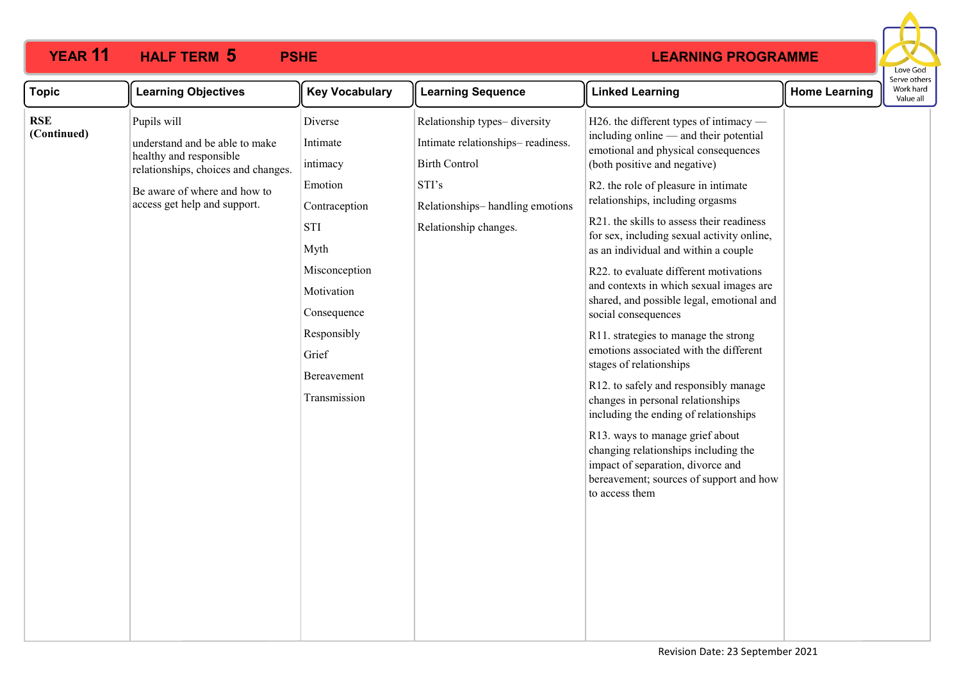| <b>Topic</b>              | <b>Learning Objectives</b>                                                                                                                                                      | <b>Key Vocabulary</b>                                                                                                                                                                  | <b>Learning Sequence</b>                                                                                                                                       | <b>Linked Learning</b>                                                                                                                                                                                                                                                                                                                                                                                                                                                                                                                                                                                                                                                                                                                                                                                                                                                                                                                           | <b>Home Learning</b> | erve other<br>Work hard<br>Value all |
|---------------------------|---------------------------------------------------------------------------------------------------------------------------------------------------------------------------------|----------------------------------------------------------------------------------------------------------------------------------------------------------------------------------------|----------------------------------------------------------------------------------------------------------------------------------------------------------------|--------------------------------------------------------------------------------------------------------------------------------------------------------------------------------------------------------------------------------------------------------------------------------------------------------------------------------------------------------------------------------------------------------------------------------------------------------------------------------------------------------------------------------------------------------------------------------------------------------------------------------------------------------------------------------------------------------------------------------------------------------------------------------------------------------------------------------------------------------------------------------------------------------------------------------------------------|----------------------|--------------------------------------|
| <b>RSE</b><br>(Continued) | Pupils will<br>understand and be able to make<br>healthy and responsible<br>relationships, choices and changes.<br>Be aware of where and how to<br>access get help and support. | Diverse<br>Intimate<br>intimacy<br>Emotion<br>Contraception<br><b>STI</b><br>Myth<br>Misconception<br>Motivation<br>Consequence<br>Responsibly<br>Grief<br>Bereavement<br>Transmission | Relationship types-diversity<br>Intimate relationships-readiness.<br><b>Birth Control</b><br>STI's<br>Relationships-handling emotions<br>Relationship changes. | H26. the different types of intimacy —<br>including online — and their potential<br>emotional and physical consequences<br>(both positive and negative)<br>R2. the role of pleasure in intimate<br>relationships, including orgasms<br>R21. the skills to assess their readiness<br>for sex, including sexual activity online,<br>as an individual and within a couple<br>R22. to evaluate different motivations<br>and contexts in which sexual images are<br>shared, and possible legal, emotional and<br>social consequences<br>R11. strategies to manage the strong<br>emotions associated with the different<br>stages of relationships<br>R12. to safely and responsibly manage<br>changes in personal relationships<br>including the ending of relationships<br>R13. ways to manage grief about<br>changing relationships including the<br>impact of separation, divorce and<br>bereavement; sources of support and how<br>to access them |                      |                                      |
|                           |                                                                                                                                                                                 |                                                                                                                                                                                        |                                                                                                                                                                |                                                                                                                                                                                                                                                                                                                                                                                                                                                                                                                                                                                                                                                                                                                                                                                                                                                                                                                                                  |                      |                                      |